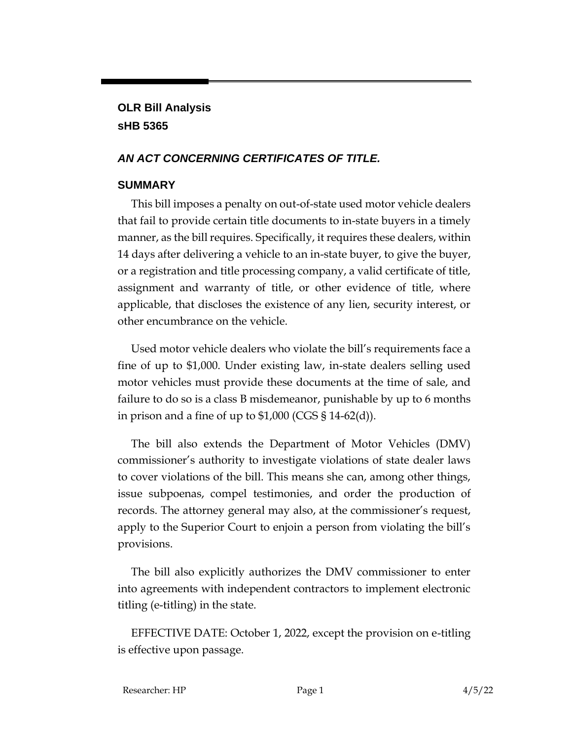## **OLR Bill Analysis sHB 5365**

## *AN ACT CONCERNING CERTIFICATES OF TITLE.*

## **SUMMARY**

This bill imposes a penalty on out-of-state used motor vehicle dealers that fail to provide certain title documents to in-state buyers in a timely manner, as the bill requires. Specifically, it requires these dealers, within 14 days after delivering a vehicle to an in-state buyer, to give the buyer, or a registration and title processing company, a valid certificate of title, assignment and warranty of title, or other evidence of title, where applicable, that discloses the existence of any lien, security interest, or other encumbrance on the vehicle.

Used motor vehicle dealers who violate the bill's requirements face a fine of up to \$1,000. Under existing law, in-state dealers selling used motor vehicles must provide these documents at the time of sale, and failure to do so is a class B misdemeanor, punishable by up to 6 months in prison and a fine of up to  $$1,000$  (CGS  $$14-62(d)$ ).

The bill also extends the Department of Motor Vehicles (DMV) commissioner's authority to investigate violations of state dealer laws to cover violations of the bill. This means she can, among other things, issue subpoenas, compel testimonies, and order the production of records. The attorney general may also, at the commissioner's request, apply to the Superior Court to enjoin a person from violating the bill's provisions.

The bill also explicitly authorizes the DMV commissioner to enter into agreements with independent contractors to implement electronic titling (e-titling) in the state.

EFFECTIVE DATE: October 1, 2022, except the provision on e-titling is effective upon passage.